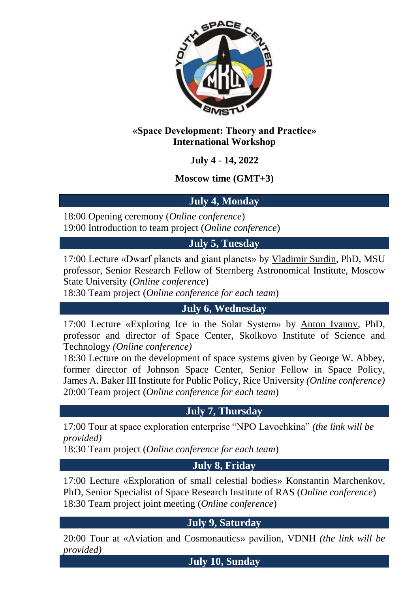

#### **«Space Development: Theory and Practice» International Workshop**

**July 4 - 14, 2022**

**Moscow time (GMT+3)**

## **July 4, Monday**

18:00 Opening ceremony (*Online conference*) 19:00 Introduction to team project (*Online conference*)

**July 5, Tuesday**

17:00 Lecture «Dwarf planets and giant planets» by Vladimir Surdin, PhD, MSU professor, Senior Research Fellow of Sternberg Astronomical Institute, Moscow State University (*Online conference*)

18:30 Team project (*Online conference for each team*)

**July 6, Wednesday**

17:00 Lecture «Exploring Ice in the Solar System» by Anton Ivanov, PhD, professor and director of Space Center, Skolkovo Institute of Science and Technology *(Online conference)*

18:30 Lecture on the development of space systems given by George W. Abbey, former director of Johnson Space Center, Senior Fellow in Space Policy, James A. Baker III Institute for Public Policy, Rice University *(Online conference)* 20:00 Team project (*Online conference for each team*)

## **July 7, Thursday**

17:00 Tour at space exploration enterprise "NPO Lavochkina" *(the link will be provided)*

18:30 Team project (*Online conference for each team*)

## **July 8, Friday**

17:00 Lecture «Exploration of small celestial bodies» Konstantin Marchenkov, PhD, Senior Specialist of Space Research Institute of RAS (*Online conference*) 18:30 Team project joint meeting (*Online conference*)

## **July 9, Saturday**

20:00 Tour at «Aviation and Cosmonautics» pavilion, VDNH *(the link will be provided)*

**July 10, Sunday**